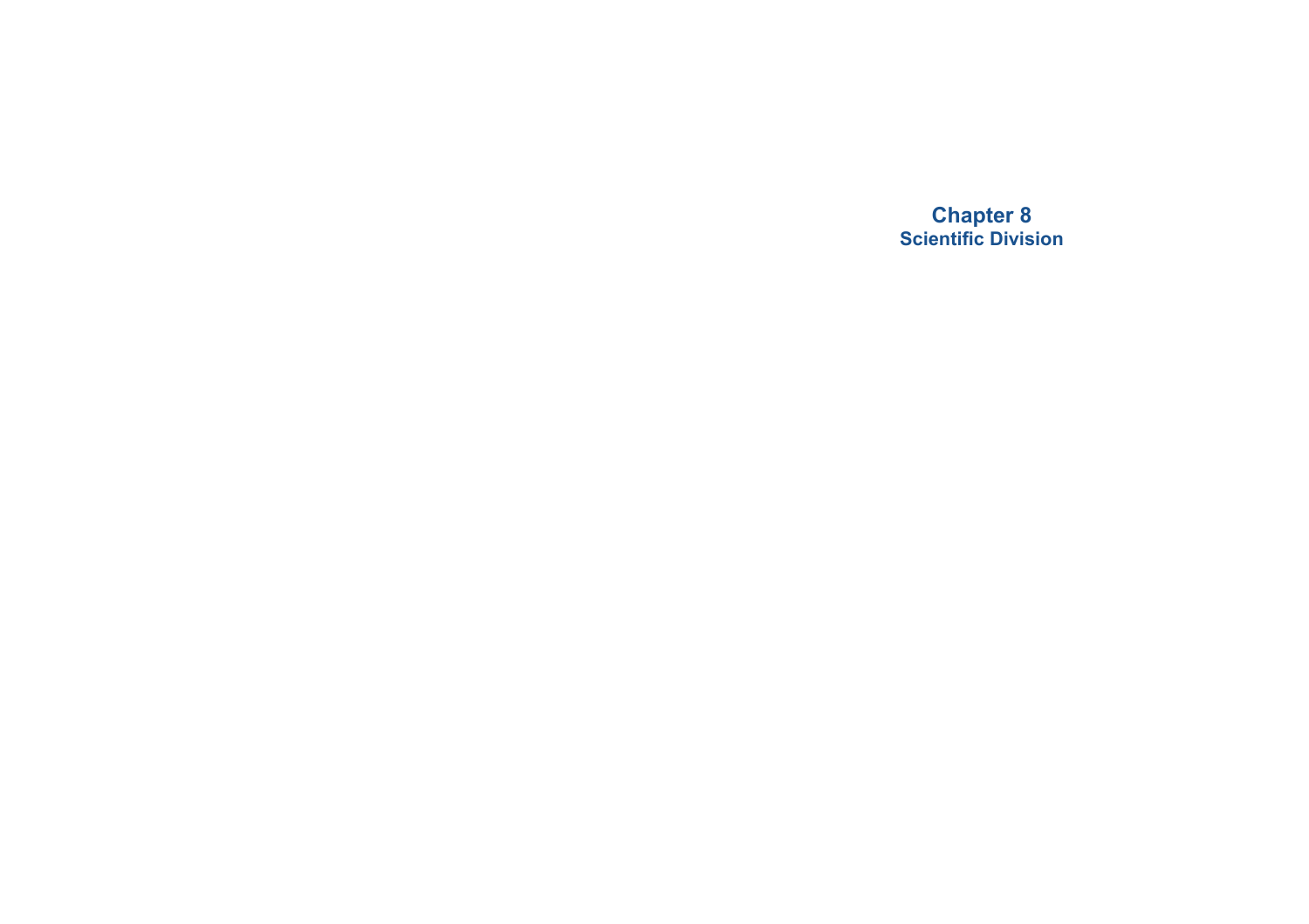**Chapter 8 Scientific Division**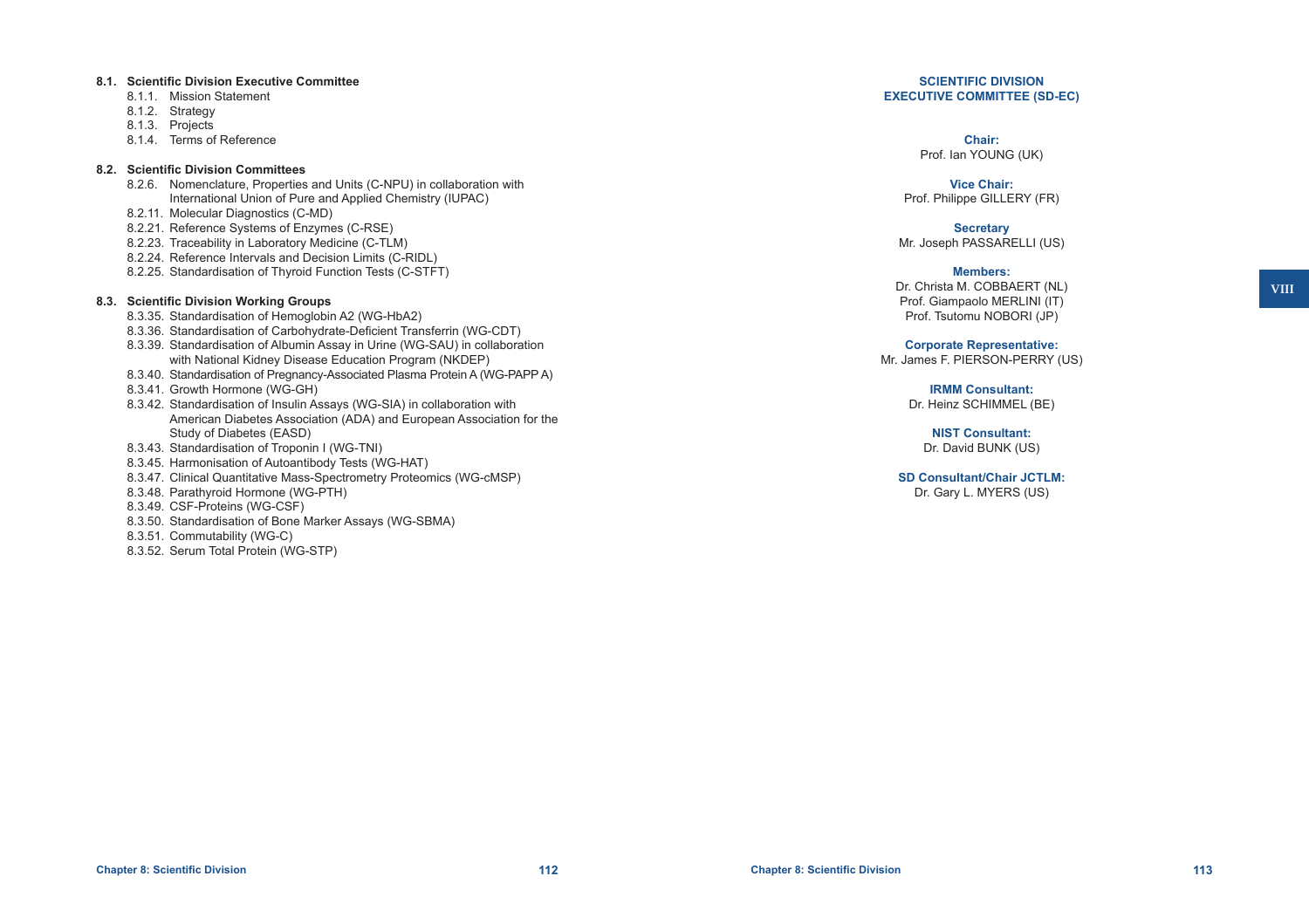#### **8.1. Scientific Division Executive Committee**

- 8.1.1. Mission Statement
- 8.1.2. Strategy
- 8.1.3. Projects
- 8.1.4. Terms of Reference

#### **8.2. Scientific Division Committees**

- 8.2.6. Nomenclature, Properties and Units (C-NPU) in collaboration with International Union of Pure and Applied Chemistry (IUPAC)
- 8.2.11. Molecular Diagnostics (C-MD)
- 8.2.21. Reference Systems of Enzymes (C-RSE)
- 8.2.23. Traceability in Laboratory Medicine (C-TLM)
- 8.2.24. Reference Intervals and Decision Limits (C-RIDL)
- 8.2.25. Standardisation of Thyroid Function Tests (C-STFT)

### **8.3. Scientific Division Working Groups**

- 8.3.35. Standardisation of Hemoglobin A2 (WG-HbA2)
- 8.3.36. Standardisation of Carbohydrate-Deficient Transferrin (WG-CDT)
- 8.3.39. Standardisation of Albumin Assay in Urine (WG-SAU) in collaboration with National Kidney Disease Education Program (NKDEP)
- 8.3.40. Standardisation of Pregnancy-Associated Plasma Protein A (WG-PAPP A)
- 8.3.41. Growth Hormone (WG-GH)
- 8.3.42. Standardisation of Insulin Assays (WG-SIA) in collaboration with American Diabetes Association (ADA) and European Association for the Study of Diabetes (EASD)
- 8.3.43. Standardisation of Troponin I (WG-TNI)
- 8.3.45. Harmonisation of Autoantibody Tests (WG-HAT)
- 8.3.47. Clinical Quantitative Mass-Spectrometry Proteomics (WG-cMSP)
- 8.3.48. Parathyroid Hormone (WG-PTH)
- 8.3.49. CSF-Proteins (WG-CSF)
- 8.3.50. Standardisation of Bone Marker Assays (WG-SBMA)
- 8.3.51. Commutability (WG-C)
- 8.3.52. Serum Total Protein (WG-STP)

### **SCIENTIFIC DIVISION EXECUTIVE COMMITTEE (SD-EC)**

#### **Chair:** Prof. Ian YOUNG (UK)

**Vice Chair:** Prof. Philippe GILLERY (FR)

**Secretary** Mr. Joseph PASSARELLI (US)

#### **Members:**

Dr. Christa M. COBBAERT (NL) Prof. Giampaolo MERLINI (IT) Prof. Tsutomu NOBORI (JP)

#### **Corporate Representative:**

Mr. James F. PIERSON-PERRY (US)

# **IRMM Consultant:**

Dr. Heinz SCHIMMEL (BE)

**NIST Consultant:** Dr. David BUNK (US)

### **SD Consultant/Chair JCTLM:**

Dr. Gary L. MYERS (US)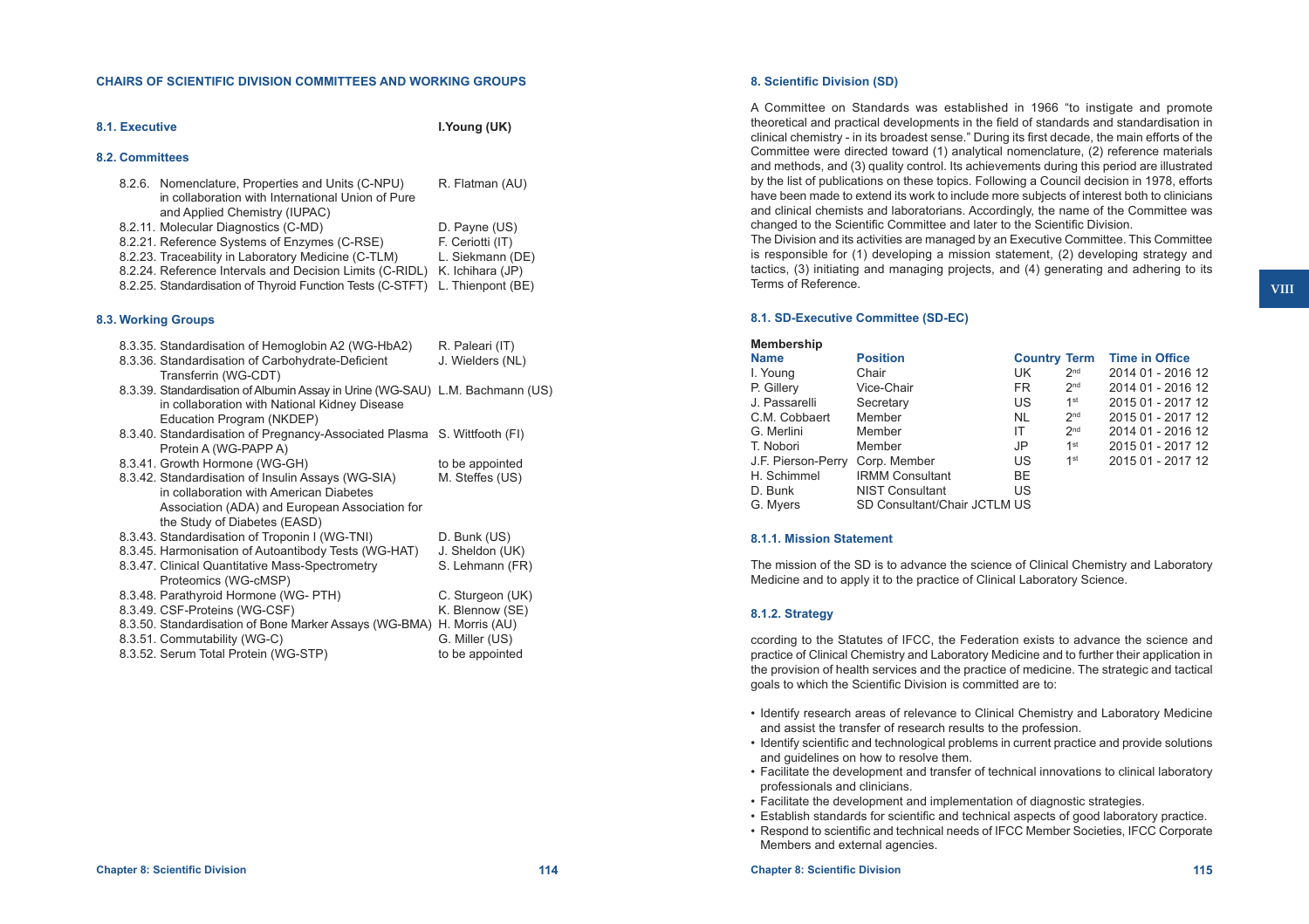#### **CHAIRS OF SCIENTIFIC DIVISION COMMITTEES AND WORKING GROUPS**

| 8.1. Executive  | I.Young (UK)                                                                                                                            |                   |
|-----------------|-----------------------------------------------------------------------------------------------------------------------------------------|-------------------|
| 8.2. Committees |                                                                                                                                         |                   |
|                 | 8.2.6. Nomenclature, Properties and Units (C-NPU)<br>in collaboration with International Union of Pure<br>and Applied Chemistry (IUPAC) | R. Flatman (AU)   |
|                 | 8.2.11. Molecular Diagnostics (C-MD)                                                                                                    | D. Payne (US)     |
|                 | 8.2.21. Reference Systems of Enzymes (C-RSE)                                                                                            | F. Ceriotti (IT)  |
|                 | 8.2.23. Traceability in Laboratory Medicine (C-TLM)                                                                                     | L. Siekmann (DE)  |
|                 | 8.2.24. Reference Intervals and Decision Limits (C-RIDL)                                                                                | K. Ichihara (JP)  |
|                 | 8.2.25. Standardisation of Thyroid Function Tests (C-STFT)                                                                              | L. Thienpont (BE) |

### **8.3. Working Groups**

| 8.3.35. Standardisation of Hemoglobin A2 (WG-HbA2)                            | R. Paleari (IT)  |
|-------------------------------------------------------------------------------|------------------|
| 8.3.36. Standardisation of Carbohydrate-Deficient                             | J. Wielders (NL) |
| Transferrin (WG-CDT)                                                          |                  |
| 8.3.39. Standardisation of Albumin Assay in Urine (WG-SAU) L.M. Bachmann (US) |                  |
| in collaboration with National Kidney Disease                                 |                  |
| Education Program (NKDEP)                                                     |                  |
| 8.3.40. Standardisation of Pregnancy-Associated Plasma S. Wittfooth (FI)      |                  |
| Protein A (WG-PAPP A)                                                         |                  |
| 8.3.41. Growth Hormone (WG-GH)                                                | to be appointed  |
| 8.3.42. Standardisation of Insulin Assays (WG-SIA)                            | M. Steffes (US)  |
| in collaboration with American Diabetes                                       |                  |
| Association (ADA) and European Association for                                |                  |
| the Study of Diabetes (EASD)                                                  |                  |
| 8.3.43. Standardisation of Troponin I (WG-TNI)                                | D. Bunk (US)     |
| 8.3.45. Harmonisation of Autoantibody Tests (WG-HAT)                          | J. Sheldon (UK)  |
| 8.3.47. Clinical Quantitative Mass-Spectrometry                               | S. Lehmann (FR)  |
| Proteomics (WG-cMSP)                                                          |                  |
| 8.3.48. Parathyroid Hormone (WG- PTH)                                         | C. Sturgeon (UK) |
| 8.3.49. CSF-Proteins (WG-CSF)                                                 | K. Blennow (SE)  |
| 8.3.50. Standardisation of Bone Marker Assays (WG-BMA) H. Morris (AU)         |                  |
| 8.3.51. Commutability (WG-C)                                                  | G. Miller (US)   |
| 8.3.52. Serum Total Protein (WG-STP)                                          | to be appointed  |

### **8. Scientific Division (SD)**

A Committee on Standards was established in 1966 "to instigate and promote theoretical and practical developments in the field of standards and standardisation in clinical chemistry - in its broadest sense." During its first decade, the main efforts of the Committee were directed toward (1) analytical nomenclature, (2) reference materials and methods, and (3) quality control. Its achievements during this period are illustrated by the list of publications on these topics. Following a Council decision in 1978, efforts have been made to extend its work to include more subjects of interest both to clinicians and clinical chemists and laboratorians. Accordingly, the name of the Committee was changed to the Scientific Committee and later to the Scientific Division.

The Division and its activities are managed by an Executive Committee. This Committee is responsible for (1) developing a mission statement, (2) developing strategy and tactics, (3) initiating and managing projects, and (4) generating and adhering to its Terms of Reference.

#### **8.1. SD-Executive Committee (SD-EC)**

### **Membership Name Position Country Term Time in Office**  I. Young Chair Chair UK 2<sup>nd</sup> 2014 01 - 2016 12<br>
P. Gillery Vice-Chair Chair ER 2<sup>nd</sup> 2014 01 - 2016 12  $\begin{array}{lll} \mathsf{FR} & \mathsf{2^{nd}} & \mathsf{2014 \, 01 \text{ - } 2016 \, 12} \\ \mathsf{US} & \mathsf{1^{st}} & \mathsf{2015 \, 01 \text{ - } 2017 \, 12} \end{array}$ J. Passarelli Secretary US  $1^{\text{st}}$  2015 01 - 2017 12<br>C.M. Cobbaert Member NL  $2^{\text{nd}}$  2015 01 - 2017 12 2015 01 - 2017 12 G. Merlini Member 11  $2^{nd}$  2014 01 - 2016 12<br>
T. Nobori Member 1st 2015 01 - 2017 12  $JP$  1<sup>st</sup> 2015 01 - 2017 12<br>US 1<sup>st</sup> 2015 01 - 2017 12 J.F. Pierson-Perry Corp. Member H. Schimmel IRMM Consultant BE<br>D. Bunk NIST Consultant US **NIST Consultant** G. Myers SD Consultant/Chair JCTLM US

#### **8.1.1. Mission Statement**

The mission of the SD is to advance the science of Clinical Chemistry and Laboratory Medicine and to apply it to the practice of Clinical Laboratory Science.

### **8.1.2. Strategy**

ccording to the Statutes of IFCC, the Federation exists to advance the science and practice of Clinical Chemistry and Laboratory Medicine and to further their application in the provision of health services and the practice of medicine. The strategic and tactical goals to which the Scientific Division is committed are to:

- • Identify research areas of relevance to Clinical Chemistry and Laboratory Medicine and assist the transfer of research results to the profession.
- • Identify scientific and technological problems in current practice and provide solutions and guidelines on how to resolve them.
- • Facilitate the development and transfer of technical innovations to clinical laboratory professionals and clinicians.
- Facilitate the development and implementation of diagnostic strategies.
- • Establish standards for scientific and technical aspects of good laboratory practice.
- Respond to scientific and technical needs of IFCC Member Societies, IFCC Corporate Members and external agencies.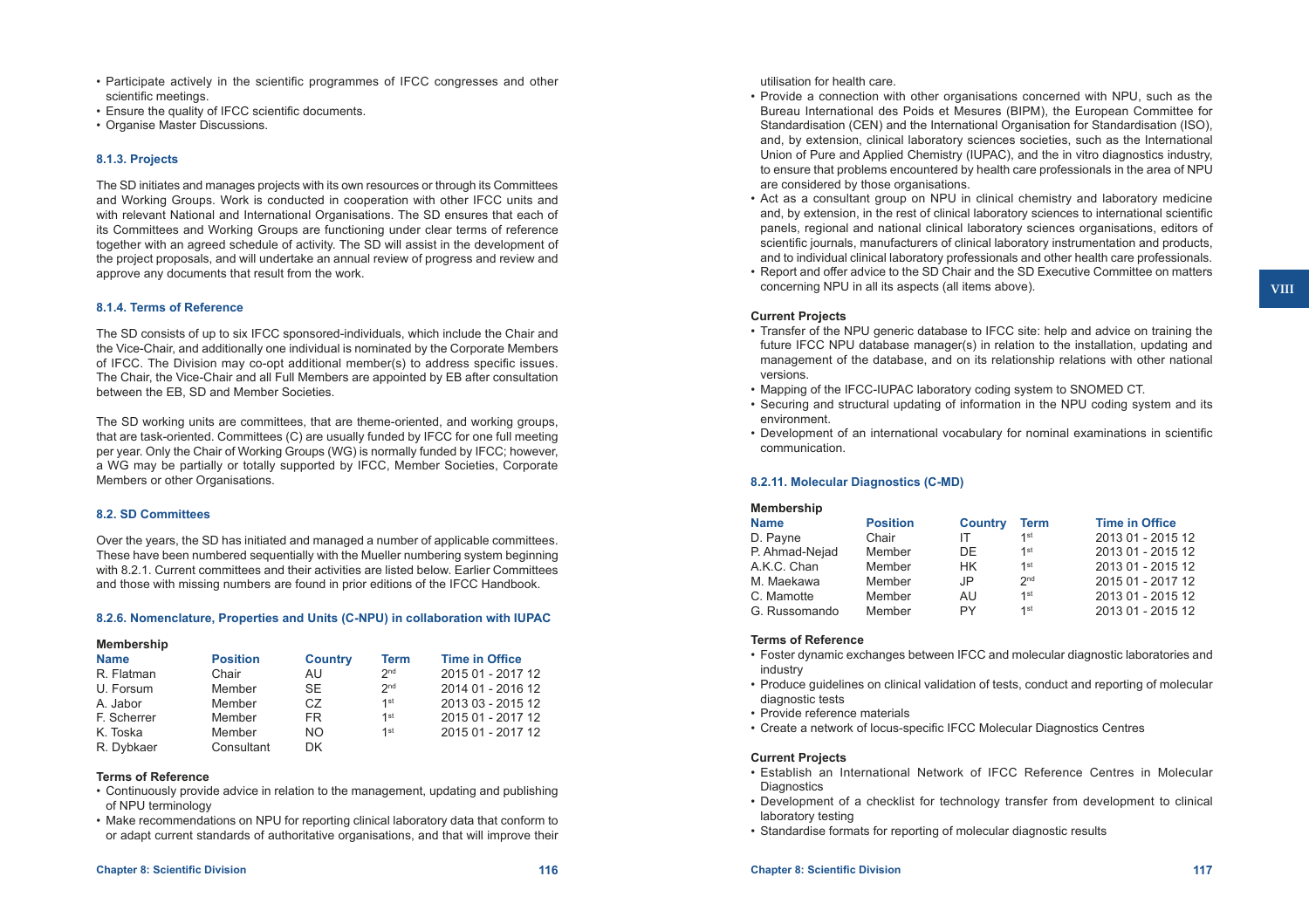- • Participate actively in the scientific programmes of IFCC congresses and other scientific meetings.
- Ensure the quality of IFCC scientific documents.
- Organise Master Discussions.

# **8.1.3. Projects**

The SD initiates and manages projects with its own resources or through its Committees and Working Groups. Work is conducted in cooperation with other IFCC units and with relevant National and International Organisations. The SD ensures that each of its Committees and Working Groups are functioning under clear terms of reference together with an agreed schedule of activity. The SD will assist in the development of the project proposals, and will undertake an annual review of progress and review and approve any documents that result from the work.

### **8.1.4. Terms of Reference**

The SD consists of up to six IFCC sponsored-individuals, which include the Chair and the Vice-Chair, and additionally one individual is nominated by the Corporate Members of IFCC. The Division may co-opt additional member(s) to address specific issues. The Chair, the Vice-Chair and all Full Members are appointed by EB after consultation between the EB, SD and Member Societies.

The SD working units are committees, that are theme-oriented, and working groups, that are task-oriented. Committees (C) are usually funded by IFCC for one full meeting per year. Only the Chair of Working Groups (WG) is normally funded by IFCC; however, a WG may be partially or totally supported by IFCC, Member Societies, Corporate Members or other Organisations.

### **8.2. SD Committees**

Over the years, the SD has initiated and managed a number of applicable committees. These have been numbered sequentially with the Mueller numbering system beginning with 8.2.1. Current committees and their activities are listed below. Earlier Committees and those with missing numbers are found in prior editions of the IFCC Handbook.

# **8.2.6. Nomenclature, Properties and Units (C-NPU) in collaboration with IUPAC**

| <b>Membership</b> |
|-------------------|
|-------------------|

| <b>Name</b> | <b>Position</b> | <b>Country</b> | <b>Term</b>     | <b>Time in Office</b> |
|-------------|-----------------|----------------|-----------------|-----------------------|
| R. Flatman  | Chair           | AU             | 2 <sub>nd</sub> | 2015 01 - 2017 12     |
| U. Forsum   | Member          | <b>SE</b>      | 2 <sub>nd</sub> | 2014 01 - 2016 12     |
| A. Jabor    | Member          | CZ.            | $1$ st          | 2013 03 - 2015 12     |
| F. Scherrer | Member          | FR.            | $1$ st          | 2015 01 - 2017 12     |
| K. Toska    | Member          | NO.            | 1st             | 2015 01 - 2017 12     |
| R. Dybkaer  | Consultant      | DK.            |                 |                       |

### **Terms of Reference**

- • Continuously provide advice in relation to the management, updating and publishing of NPU terminology
- • Make recommendations on NPU for reporting clinical laboratory data that conform to or adapt current standards of authoritative organisations, and that will improve their

### utilisation for health care.

- Provide a connection with other organisations concerned with NPU, such as the Bureau International des Poids et Mesures (BIPM), the European Committee for Standardisation (CEN) and the International Organisation for Standardisation (ISO), and, by extension, clinical laboratory sciences societies, such as the International Union of Pure and Applied Chemistry (IUPAC), and the in vitro diagnostics industry, to ensure that problems encountered by health care professionals in the area of NPU are considered by those organisations.
- Act as a consultant group on NPU in clinical chemistry and laboratory medicine and, by extension, in the rest of clinical laboratory sciences to international scientific panels, regional and national clinical laboratory sciences organisations, editors of scientific journals, manufacturers of clinical laboratory instrumentation and products, and to individual clinical laboratory professionals and other health care professionals.
- Report and offer advice to the SD Chair and the SD Executive Committee on matters concerning NPU in all its aspects (all items above).

### **Current Projects**

- Transfer of the NPU generic database to IFCC site: help and advice on training the future IFCC NPU database manager(s) in relation to the installation, updating and management of the database, and on its relationship relations with other national versions.
- Mapping of the IFCC-IUPAC laboratory coding system to SNOMED CT.
- • Securing and structural updating of information in the NPU coding system and its environment.
- • Development of an international vocabulary for nominal examinations in scientific communication.

# **8.2.11. Molecular Diagnostics (C-MD)**

| <b>Membership</b> |                 |                |                 |                       |
|-------------------|-----------------|----------------|-----------------|-----------------------|
| <b>Name</b>       | <b>Position</b> | <b>Country</b> | <b>Term</b>     | <b>Time in Office</b> |
| D. Payne          | Chair           |                | 1st             | 2013 01 - 2015 12     |
| P. Ahmad-Nejad    | Member          | DF             | 1 <sup>st</sup> | 2013 01 - 2015 12     |
| A.K.C. Chan       | Member          | HK.            | $1$ st          | 2013 01 - 2015 12     |
| M. Maekawa        | Member          | JP             | 2 <sub>nd</sub> | 2015 01 - 2017 12     |
| C. Mamotte        | Member          | AU             | $1$ st          | 2013 01 - 2015 12     |
| G. Russomando     | Member          | PY             | $1$ st          | 2013 01 - 2015 12     |

### **Terms of Reference**

- • Foster dynamic exchanges between IFCC and molecular diagnostic laboratories and industry
- • Produce guidelines on clinical validation of tests, conduct and reporting of molecular diagnostic tests
- • Provide reference materials
- • Create a network of locus-specific IFCC Molecular Diagnostics Centres

### **Current Projects**

- Establish an International Network of IFCC Reference Centres in Molecular **Diagnostics**
- • Development of a checklist for technology transfer from development to clinical laboratory testing
- Standardise formats for reporting of molecular diagnostic results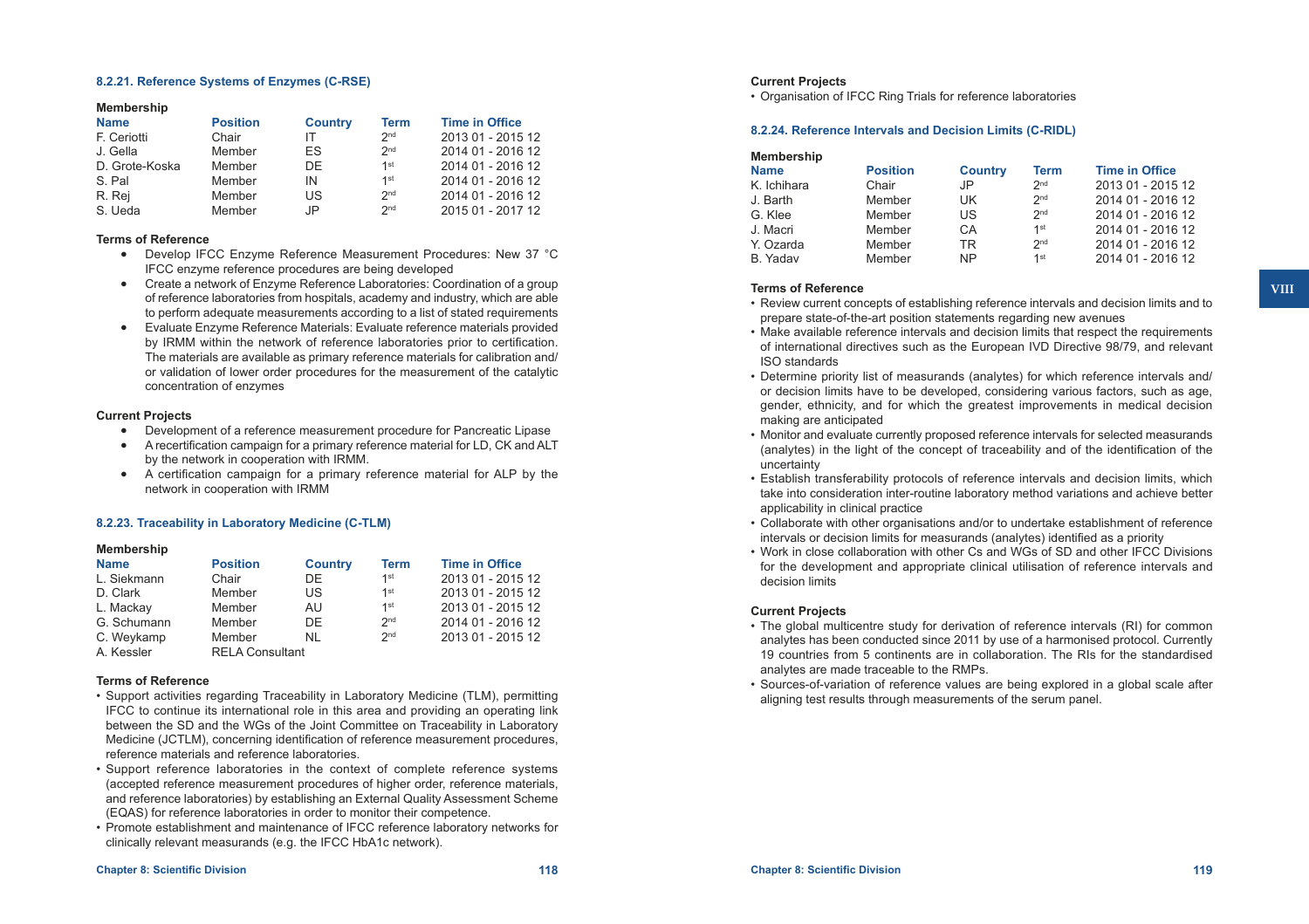### **8.2.21. Reference Systems of Enzymes (C-RSE)**

#### **Membership**

| <b>Name</b>    | <b>Position</b> | <b>Country</b> | <b>Term</b>     | <b>Time in Office</b> |
|----------------|-----------------|----------------|-----------------|-----------------------|
| F. Ceriotti    | Chair           |                | 2 <sub>nd</sub> | 2013 01 - 2015 12     |
| J. Gella       | Member          | FS             | 2 <sub>nd</sub> | 2014 01 - 2016 12     |
| D. Grote-Koska | Member          | DF.            | $1$ st          | 2014 01 - 2016 12     |
| S. Pal         | Member          | IN             | $1$ st          | 2014 01 - 2016 12     |
| R. Rej         | Member          | US             | 2 <sub>nd</sub> | 2014 01 - 2016 12     |
| S. Ueda        | Member          | .IP            | 2 <sub>nd</sub> | 2015 01 - 2017 12     |

#### **Terms of Reference**

- • Develop IFCC Enzyme Reference Measurement Procedures: New 37 °C IFCC enzyme reference procedures are being developed
- • Create a network of Enzyme Reference Laboratories: Coordination of a group of reference laboratories from hospitals, academy and industry, which are able to perform adequate measurements according to a list of stated requirements
- • Evaluate Enzyme Reference Materials: Evaluate reference materials provided by IRMM within the network of reference laboratories prior to certification. The materials are available as primary reference materials for calibration and/ or validation of lower order procedures for the measurement of the catalytic concentration of enzymes

#### **Current Projects**

- Development of a reference measurement procedure for Pancreatic Lipase
- A recertification campaign for a primary reference material for LD, CK and ALT by the network in cooperation with IRMM.
- • A certification campaign for a primary reference material for ALP by the network in cooperation with IRMM

#### **8.2.23. Traceability in Laboratory Medicine (C-TLM)**

#### **Membership**

| <b>Name</b> | <b>Position</b>        | <b>Country</b> | <b>Term</b>     | <b>Time in Office</b> |
|-------------|------------------------|----------------|-----------------|-----------------------|
| L. Siekmann | Chair                  | DF.            | 1st             | 2013 01 - 2015 12     |
| D. Clark    | Member                 | US             | 1st             | 2013 01 - 2015 12     |
| L. Mackay   | Member                 | AU             | 1st             | 2013 01 - 2015 12     |
| G. Schumann | Member                 | DF             | 2 <sub>nd</sub> | 2014 01 - 2016 12     |
| C. Weykamp  | Member                 | NI             | 2 <sub>nd</sub> | 2013 01 - 2015 12     |
| A. Kessler  | <b>RELA Consultant</b> |                |                 |                       |

#### **Terms of Reference**

- • Support activities regarding Traceability in Laboratory Medicine (TLM), permitting IFCC to continue its international role in this area and providing an operating link between the SD and the WGs of the Joint Committee on Traceability in Laboratory Medicine (JCTLM), concerning identification of reference measurement procedures, reference materials and reference laboratories.
- • Support reference laboratories in the context of complete reference systems (accepted reference measurement procedures of higher order, reference materials, and reference laboratories) by establishing an External Quality Assessment Scheme (EQAS) for reference laboratories in order to monitor their competence.
- • Promote establishment and maintenance of IFCC reference laboratory networks for clinically relevant measurands (e.g. the IFCC HbA1c network).

# **Current Projects**

• Organisation of IFCC Ring Trials for reference laboratories

#### **8.2.24. Reference Intervals and Decision Limits (C-RIDL)**

| Membership  |                 |                |                 |                       |
|-------------|-----------------|----------------|-----------------|-----------------------|
| <b>Name</b> | <b>Position</b> | <b>Country</b> | <b>Term</b>     | <b>Time in Office</b> |
| K. Ichihara | Chair           | JP             | 2 <sub>nd</sub> | 2013 01 - 2015 12     |
| J. Barth    | Member          | UK             | 2 <sub>nd</sub> | 2014 01 - 2016 12     |
| G. Klee     | Member          | US             | 2 <sub>nd</sub> | 2014 01 - 2016 12     |
| J. Macri    | Member          | CA             | 1 <sup>st</sup> | 2014 01 - 2016 12     |
| Y. Ozarda   | Member          | <b>TR</b>      | 2 <sub>nd</sub> | 2014 01 - 2016 12     |
| B. Yadav    | Member          | <b>NP</b>      | 1 <sup>st</sup> | 2014 01 - 2016 12     |
|             |                 |                |                 |                       |

#### **Terms of Reference**

- • Review current concepts of establishing reference intervals and decision limits and to prepare state-of-the-art position statements regarding new avenues
- Make available reference intervals and decision limits that respect the requirements of international directives such as the European IVD Directive 98/79, and relevant ISO standards
- • Determine priority list of measurands (analytes) for which reference intervals and/ or decision limits have to be developed, considering various factors, such as age, gender, ethnicity, and for which the greatest improvements in medical decision making are anticipated
- • Monitor and evaluate currently proposed reference intervals for selected measurands (analytes) in the light of the concept of traceability and of the identification of the uncertainty
- • Establish transferability protocols of reference intervals and decision limits, which take into consideration inter-routine laboratory method variations and achieve better applicability in clinical practice
- • Collaborate with other organisations and/or to undertake establishment of reference intervals or decision limits for measurands (analytes) identified as a priority
- • Work in close collaboration with other Cs and WGs of SD and other IFCC Divisions for the development and appropriate clinical utilisation of reference intervals and decision limits

#### **Current Projects**

- The global multicentre study for derivation of reference intervals (RI) for common analytes has been conducted since 2011 by use of a harmonised protocol. Currently 19 countries from 5 continents are in collaboration. The RIs for the standardised analytes are made traceable to the RMPs.
- • Sources-of-variation of reference values are being explored in a global scale after aligning test results through measurements of the serum panel.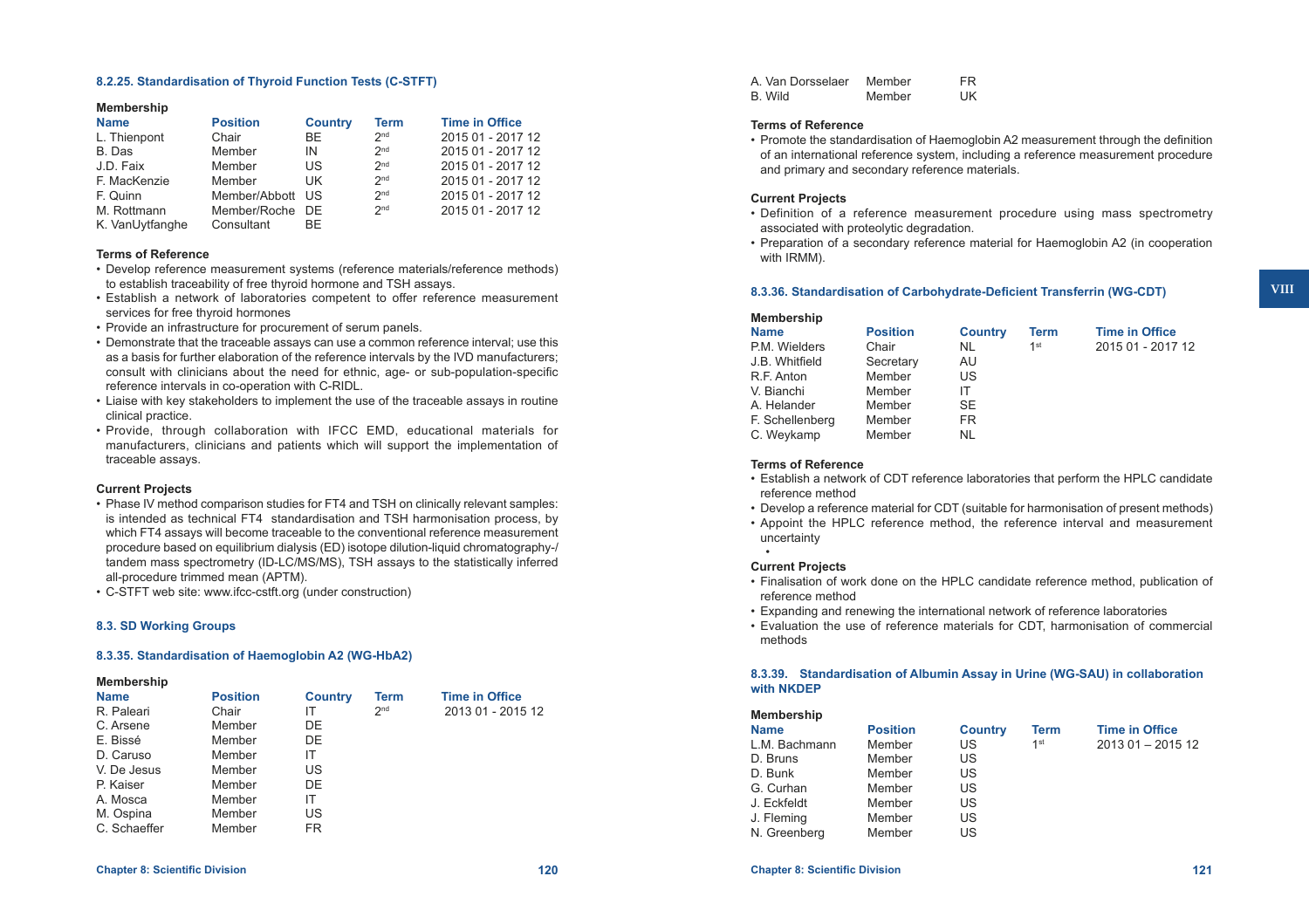### **8.2.25. Standardisation of Thyroid Function Tests (C-STFT)**

#### **Membership**

| <b>Name</b>     | <b>Position</b>  | <b>Country</b> | <b>Term</b>     | <b>Time in Office</b> |
|-----------------|------------------|----------------|-----------------|-----------------------|
| L. Thienpont    | Chair            | BF.            | 2 <sub>nd</sub> | 2015 01 - 2017 12     |
| B. Das          | Member           | IN             | 2 <sub>nd</sub> | 2015 01 - 2017 12     |
| J.D. Faix       | Member           | US             | 2 <sub>nd</sub> | 2015 01 - 2017 12     |
| F. MacKenzie    | Member           | UK.            | 2 <sub>nd</sub> | 2015 01 - 2017 12     |
| F. Quinn        | Member/Abbott US |                | 2 <sub>nd</sub> | 2015 01 - 2017 12     |
| M. Rottmann     | Member/Roche DE  |                | 2 <sub>nd</sub> | 2015 01 - 2017 12     |
| K. VanUytfanghe | Consultant       | BE.            |                 |                       |

#### **Terms of Reference**

- • Develop reference measurement systems (reference materials/reference methods) to establish traceability of free thyroid hormone and TSH assays.
- • Establish a network of laboratories competent to offer reference measurement services for free thyroid hormones
- Provide an infrastructure for procurement of serum panels.
- • Demonstrate that the traceable assays can use a common reference interval; use this as a basis for further elaboration of the reference intervals by the IVD manufacturers; consult with clinicians about the need for ethnic, age- or sub-population-specific reference intervals in co-operation with C-RIDL.
- Liaise with key stakeholders to implement the use of the traceable assays in routine clinical practice.
- • Provide, through collaboration with IFCC EMD, educational materials for manufacturers, clinicians and patients which will support the implementation of traceable assays.

#### **Current Projects**

- Phase IV method comparison studies for FT4 and TSH on clinically relevant samples: is intended as technical FT4 standardisation and TSH harmonisation process, by which FT4 assays will become traceable to the conventional reference measurement procedure based on equilibrium dialysis (ED) isotope dilution-liquid chromatography-/ tandem mass spectrometry (ID-LC/MS/MS), TSH assays to the statistically inferred all-procedure trimmed mean (APTM).
- • C-STFT web site: [www.ifcc-cstft.org](http://www.ifcc-cstft.org) (under construction)

#### **8.3. SD Working Groups**

#### **8.3.35. Standardisation of Haemoglobin A2 (WG-HbA2)**

#### **Membership**

| <b>Name</b>  | <b>Position</b> | <b>Country</b> | Term            | <b>Time in Office</b> |
|--------------|-----------------|----------------|-----------------|-----------------------|
| R. Paleari   | Chair           | IТ             | 2 <sub>nd</sub> | 2013 01 - 2015 12     |
| C. Arsene    | Member          | DE.            |                 |                       |
| E. Bissé     | Member          | DE             |                 |                       |
| D. Caruso    | Member          | IΤ             |                 |                       |
| V. De Jesus  | Member          | US             |                 |                       |
| P. Kaiser    | Member          | DE             |                 |                       |
| A. Mosca     | Member          | IT             |                 |                       |
| M. Ospina    | Member          | US             |                 |                       |
| C. Schaeffer | Member          | FR             |                 |                       |

| A. Van Dorsselaer | Member | FR. |
|-------------------|--------|-----|
| B. Wild           | Member | UK. |

#### **Terms of Reference**

• Promote the standardisation of Haemoglobin A2 measurement through the definition of an international reference system, including a reference measurement procedure and primary and secondary reference materials.

### **Current Projects**

- • Definition of a reference measurement procedure using mass spectrometry associated with proteolytic degradation.
- • Preparation of a secondary reference material for Haemoglobin A2 (in cooperation with IRMM).

#### **8.3.36. Standardisation of Carbohydrate-Deficient Transferrin (WG-CDT)**

| Membership      |                 |                |      |                       |
|-----------------|-----------------|----------------|------|-----------------------|
| <b>Name</b>     | <b>Position</b> | <b>Country</b> | Term | <b>Time in Office</b> |
| P.M. Wielders   | Chair           | NL             | 1st  | 2015 01 - 2017 12     |
| J.B. Whitfield  | Secretary       | AU             |      |                       |
| R.F. Anton      | Member          | US             |      |                       |
| V. Bianchi      | Member          | IT             |      |                       |
| A. Helander     | Member          | <b>SE</b>      |      |                       |
| F. Schellenberg | Member          | FR.            |      |                       |
| C. Weykamp      | Member          | NL             |      |                       |
|                 |                 |                |      |                       |

#### **Terms of Reference**

- • Establish a network of CDT reference laboratories that perform the HPLC candidate reference method
- Develop a reference material for CDT (suitable for harmonisation of present methods)
- • Appoint the HPLC reference method, the reference interval and measurement uncertainty

#### **Current Projects**

• 

- • Finalisation of work done on the HPLC candidate reference method, publication of reference method
- • Expanding and renewing the international network of reference laboratories
- • Evaluation the use of reference materials for CDT, harmonisation of commercial methods

#### **8.3.39. Standardisation of Albumin Assay in Urine (WG-SAU) in collaboration with NKDEP**

| <b>Membership</b> |                 |                |                 |                       |
|-------------------|-----------------|----------------|-----------------|-----------------------|
| <b>Name</b>       | <b>Position</b> | <b>Country</b> | Term            | <b>Time in Office</b> |
| L.M. Bachmann     | Member          | US             | 1 <sup>st</sup> | $201301 - 201512$     |
| D. Bruns          | Member          | US             |                 |                       |
| D. Bunk           | Member          | US             |                 |                       |
| G. Curhan         | Member          | US             |                 |                       |
| J. Eckfeldt       | Member          | US             |                 |                       |
| J. Fleming        | Member          | US             |                 |                       |
| N. Greenberg      | Member          | US             |                 |                       |

**VIII**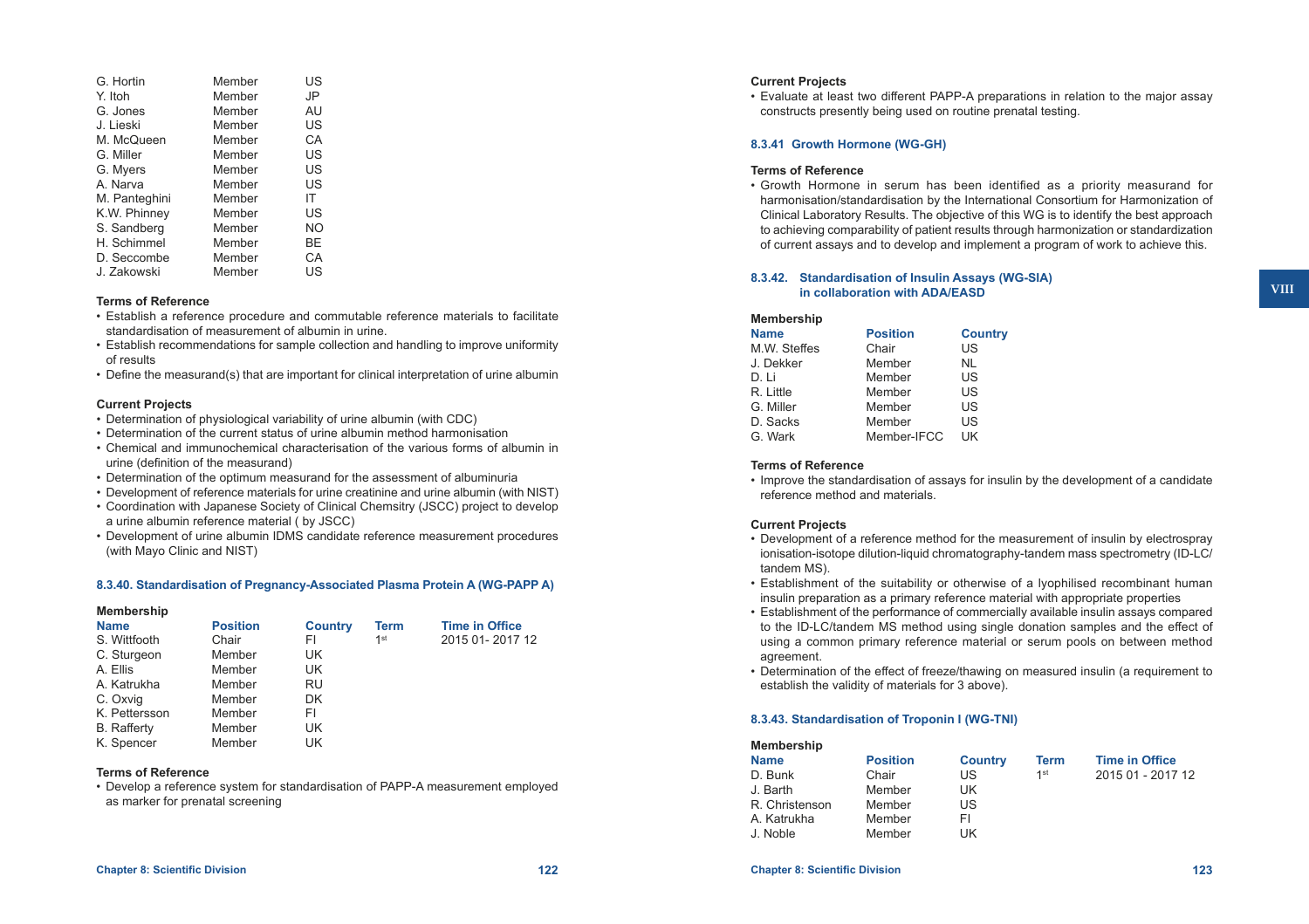| G. Hortin     | Member | US |
|---------------|--------|----|
| Y. Itoh       | Member | JP |
| G. Jones      | Member | AU |
| J. Lieski     | Member | US |
| M. McQueen    | Member | СA |
| G. Miller     | Member | US |
| G. Myers      | Member | US |
| A. Narva      | Member | US |
| M. Panteghini | Member | ΙT |
| K.W. Phinney  | Member | US |
| S. Sandberg   | Member | NO |
| H. Schimmel   | Member | ВE |
| D. Seccombe   | Member | СA |
| J. Zakowski   | Member | US |

#### **Terms of Reference**

- • Establish a reference procedure and commutable reference materials to facilitate standardisation of measurement of albumin in urine.
- • Establish recommendations for sample collection and handling to improve uniformity of results
- • Define the measurand(s) that are important for clinical interpretation of urine albumin

#### **Current Projects**

- Determination of physiological variability of urine albumin (with CDC)
- Determination of the current status of urine albumin method harmonisation
- • Chemical and immunochemical characterisation of the various forms of albumin in urine (definition of the measurand)
- Determination of the optimum measurand for the assessment of albuminuria
- • Development of reference materials for urine creatinine and urine albumin (with NIST)
- • Coordination with Japanese Society of Clinical Chemsitry (JSCC) project to develop a urine albumin reference material ( by JSCC)
- • Development of urine albumin IDMS candidate reference measurement procedures (with Mayo Clinic and NIST)

#### **8.3.40. Standardisation of Pregnancy-Associated Plasma Protein A (WG-PAPP A)**

# **Membership**

| <b>Name</b>        | <b>Position</b> | <b>Country</b> | Term            | <b>Time in Office</b> |
|--------------------|-----------------|----------------|-----------------|-----------------------|
| S. Wittfooth       | Chair           | FI.            | 1 <sup>st</sup> | 2015 01-2017 12       |
| C. Sturgeon        | Member          | UK             |                 |                       |
| A. Ellis           | Member          | UK             |                 |                       |
| A. Katrukha        | Member          | RU             |                 |                       |
| C. Oxvig           | Member          | DK             |                 |                       |
| K. Pettersson      | Member          | FI             |                 |                       |
| <b>B.</b> Rafferty | Member          | UK             |                 |                       |
| K. Spencer         | Member          | UK             |                 |                       |

### **Terms of Reference**

• Develop a reference system for standardisation of PAPP-A measurement employed as marker for prenatal screening

# **Current Projects**

• Evaluate at least two different PAPP-A preparations in relation to the major assay constructs presently being used on routine prenatal testing.

### **8.3.41 Growth Hormone (WG-GH)**

#### **Terms of Reference**

• Growth Hormone in serum has been identified as a priority measurand for harmonisation/standardisation by the International Consortium for Harmonization of Clinical Laboratory Results. The objective of this WG is to identify the best approach to achieving comparability of patient results through harmonization or standardization of current assays and to develop and implement a program of work to achieve this.

### **8.3.42. Standardisation of Insulin Assays (WG-SIA) in collaboration with ADA/EASD**

| <b>Membership</b> |                 |                |
|-------------------|-----------------|----------------|
| <b>Name</b>       | <b>Position</b> | <b>Country</b> |
| M.W. Steffes      | Chair           | US             |
| J. Dekker         | Member          | <b>NL</b>      |
| D. Li             | Member          | US             |
| R. Little         | Member          | US             |
| G. Miller         | Member          | US             |
| D. Sacks          | Member          | US             |
| G. Wark           | Member-IFCC     | UK             |
|                   |                 |                |

#### **Terms of Reference**

• Improve the standardisation of assays for insulin by the development of a candidate reference method and materials.

#### **Current Projects**

- • Development of a reference method for the measurement of insulin by electrospray ionisation-isotope dilution-liquid chromatography-tandem mass spectrometry (ID-LC/ tandem MS).
- • Establishment of the suitability or otherwise of a lyophilised recombinant human insulin preparation as a primary reference material with appropriate properties
- • Establishment of the performance of commercially available insulin assays compared to the ID-LC/tandem MS method using single donation samples and the effect of using a common primary reference material or serum pools on between method agreement.
- • Determination of the effect of freeze/thawing on measured insulin (a requirement to establish the validity of materials for 3 above).

### **8.3.43. Standardisation of Troponin I (WG-TNI)**

| <b>Membership</b> |                 |                |             |                       |
|-------------------|-----------------|----------------|-------------|-----------------------|
| <b>Name</b>       | <b>Position</b> | <b>Country</b> | <b>Term</b> | <b>Time in Office</b> |
| D. Bunk           | Chair           | US             | 1st         | 2015 01 - 2017 12     |
| J. Barth          | Member          | UK             |             |                       |
| R. Christenson    | Member          | US             |             |                       |
| A. Katrukha       | Member          | FI             |             |                       |
| J. Noble          | Member          | UK             |             |                       |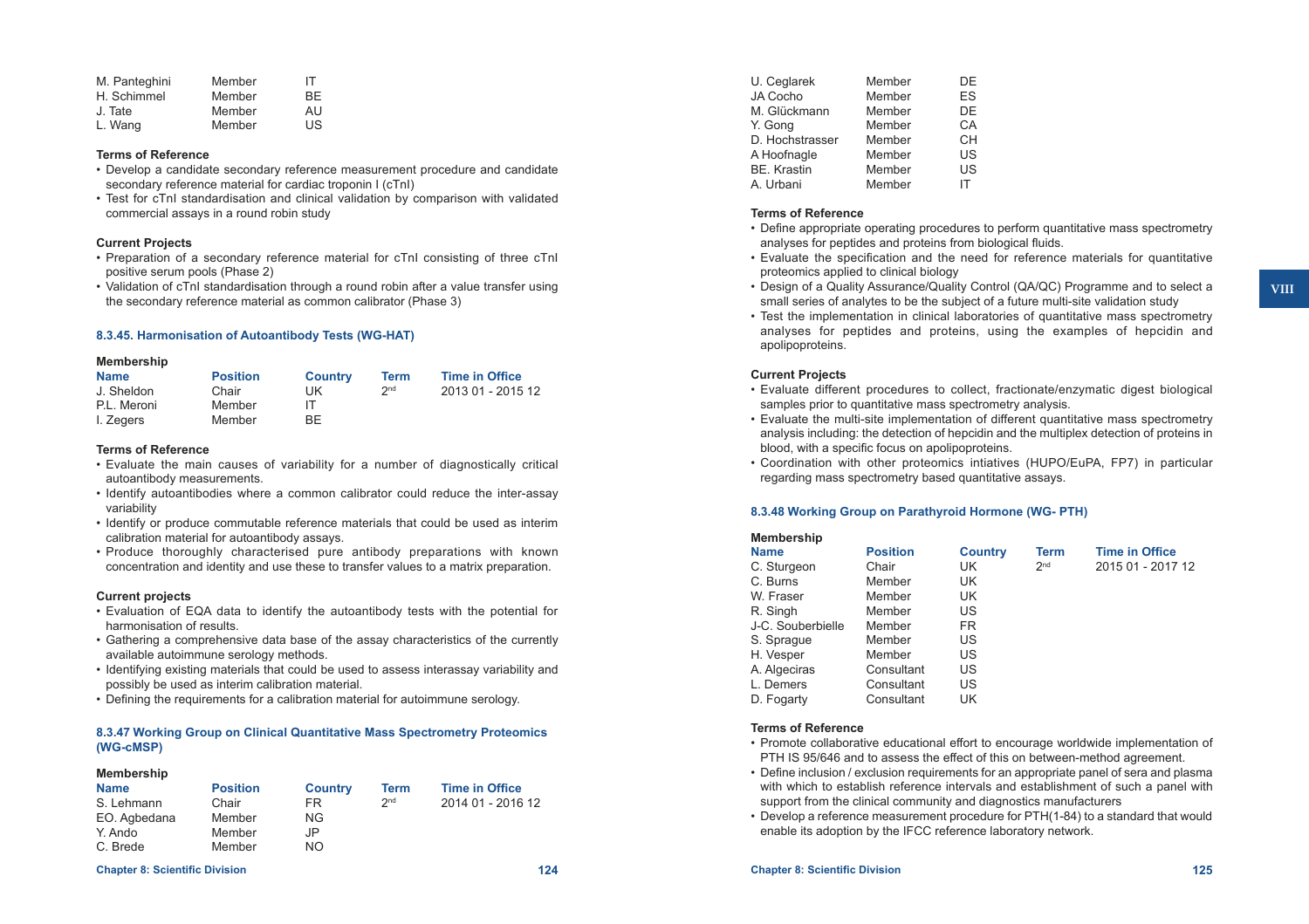| M. Panteghini | Member | IТ |
|---------------|--------|----|
| H. Schimmel   | Member | ВF |
| J. Tate       | Member | AU |
| L. Wang       | Member | US |

#### **Terms of Reference**

- • Develop a candidate secondary reference measurement procedure and candidate secondary reference material for cardiac troponin I (cTnI)
- Test for cTnI standardisation and clinical validation by comparison with validated commercial assays in a round robin study

#### **Current Projects**

- • Preparation of a secondary reference material for cTnI consisting of three cTnI positive serum pools (Phase 2)
- • Validation of cTnI standardisation through a round robin after a value transfer using the secondary reference material as common calibrator (Phase 3)

#### **8.3.45. Harmonisation of Autoantibody Tests (WG-HAT)**

#### **Membership**

| <b>Name</b> | <b>Position</b> | <b>Country</b> | Term            | <b>Time in Office</b> |
|-------------|-----------------|----------------|-----------------|-----------------------|
| J. Sheldon  | Chair           | UK             | 2 <sub>nd</sub> | 2013 01 - 2015 12     |
| P.L. Meroni | Member          |                |                 |                       |
| I. Zegers   | Member          | <b>BF</b>      |                 |                       |

### **Terms of Reference**

- • Evaluate the main causes of variability for a number of diagnostically critical autoantibody measurements.
- • Identify autoantibodies where a common calibrator could reduce the inter-assay variability
- • Identify or produce commutable reference materials that could be used as interim calibration material for autoantibody assays.
- • Produce thoroughly characterised pure antibody preparations with known concentration and identity and use these to transfer values to a matrix preparation.

#### **Current projects**

**Membership**

- • Evaluation of EQA data to identify the autoantibody tests with the potential for harmonisation of results.
- • Gathering a comprehensive data base of the assay characteristics of the currently available autoimmune serology methods.
- • Identifying existing materials that could be used to assess interassay variability and possibly be used as interim calibration material.
- Defining the requirements for a calibration material for autoimmune serology.

#### **8.3.47 Working Group on Clinical Quantitative Mass Spectrometry Proteomics (WG-cMSP)**

| <b>Membership</b> |                 |                |                 |                       |  |
|-------------------|-----------------|----------------|-----------------|-----------------------|--|
| <b>Name</b>       | <b>Position</b> | <b>Country</b> | Term            | <b>Time in Office</b> |  |
| S. Lehmann        | Chair           | FR.            | 2 <sub>nd</sub> | 2014 01 - 2016 12     |  |
| EO. Agbedana      | Member          | NG.            |                 |                       |  |
| Y. Ando           | Member          | JP             |                 |                       |  |
| C. Brede          | Member          | <b>NO</b>      |                 |                       |  |
|                   |                 |                |                 |                       |  |

#### **Chapter 8: Scientific Division 124 Chapter 8: Scientific Division 125**

| U. Ceglarek        | Member | DF |
|--------------------|--------|----|
| JA Cocho           | Member | FS |
| M. Glückmann       | Member | DE |
| Y. Gong            | Member | СA |
| D. Hochstrasser    | Member | CН |
| A Hoofnagle        | Member | US |
| <b>BE. Krastin</b> | Member | US |
| A. Urbani          | Member | IΤ |
|                    |        |    |

#### **Terms of Reference**

- • Define appropriate operating procedures to perform quantitative mass spectrometry analyses for peptides and proteins from biological fluids.
- • Evaluate the specification and the need for reference materials for quantitative proteomics applied to clinical biology
- Design of a Quality Assurance/Quality Control (QA/QC) Programme and to select a small series of analytes to be the subject of a future multi-site validation study
- Test the implementation in clinical laboratories of quantitative mass spectrometry analyses for peptides and proteins, using the examples of hepcidin and apolipoproteins.

#### **Current Projects**

- • Evaluate different procedures to collect, fractionate/enzymatic digest biological samples prior to quantitative mass spectrometry analysis.
- • Evaluate the multi-site implementation of different quantitative mass spectrometry analysis including: the detection of hepcidin and the multiplex detection of proteins in blood, with a specific focus on apolipoproteins.
- • Coordination with other proteomics intiatives (HUPO/EuPA, FP7) in particular regarding mass spectrometry based quantitative assays.

#### **8.3.48 Working Group on Parathyroid Hormone (WG- PTH)**

| Membership        |                 |                |                 |                       |
|-------------------|-----------------|----------------|-----------------|-----------------------|
| <b>Name</b>       | <b>Position</b> | <b>Country</b> | <b>Term</b>     | <b>Time in Office</b> |
| C. Sturgeon       | Chair           | UK             | 2 <sub>nd</sub> | 2015 01 - 2017 12     |
| C. Burns          | Member          | UK             |                 |                       |
| W. Fraser         | Member          | UK             |                 |                       |
| R. Singh          | Member          | US             |                 |                       |
| J-C. Souberbielle | Member          | FR.            |                 |                       |
| S. Sprague        | Member          | US             |                 |                       |
| H. Vesper         | Member          | US             |                 |                       |
| A. Algeciras      | Consultant      | US             |                 |                       |
| L. Demers         | Consultant      | US             |                 |                       |
| D. Fogarty        | Consultant      | UK             |                 |                       |
|                   |                 |                |                 |                       |

#### **Terms of Reference**

- • Promote collaborative educational effort to encourage worldwide implementation of PTH IS 95/646 and to assess the effect of this on between-method agreement.
- Define inclusion / exclusion requirements for an appropriate panel of sera and plasma with which to establish reference intervals and establishment of such a panel with support from the clinical community and diagnostics manufacturers
- Develop a reference measurement procedure for PTH(1-84) to a standard that would enable its adoption by the IFCC reference laboratory network.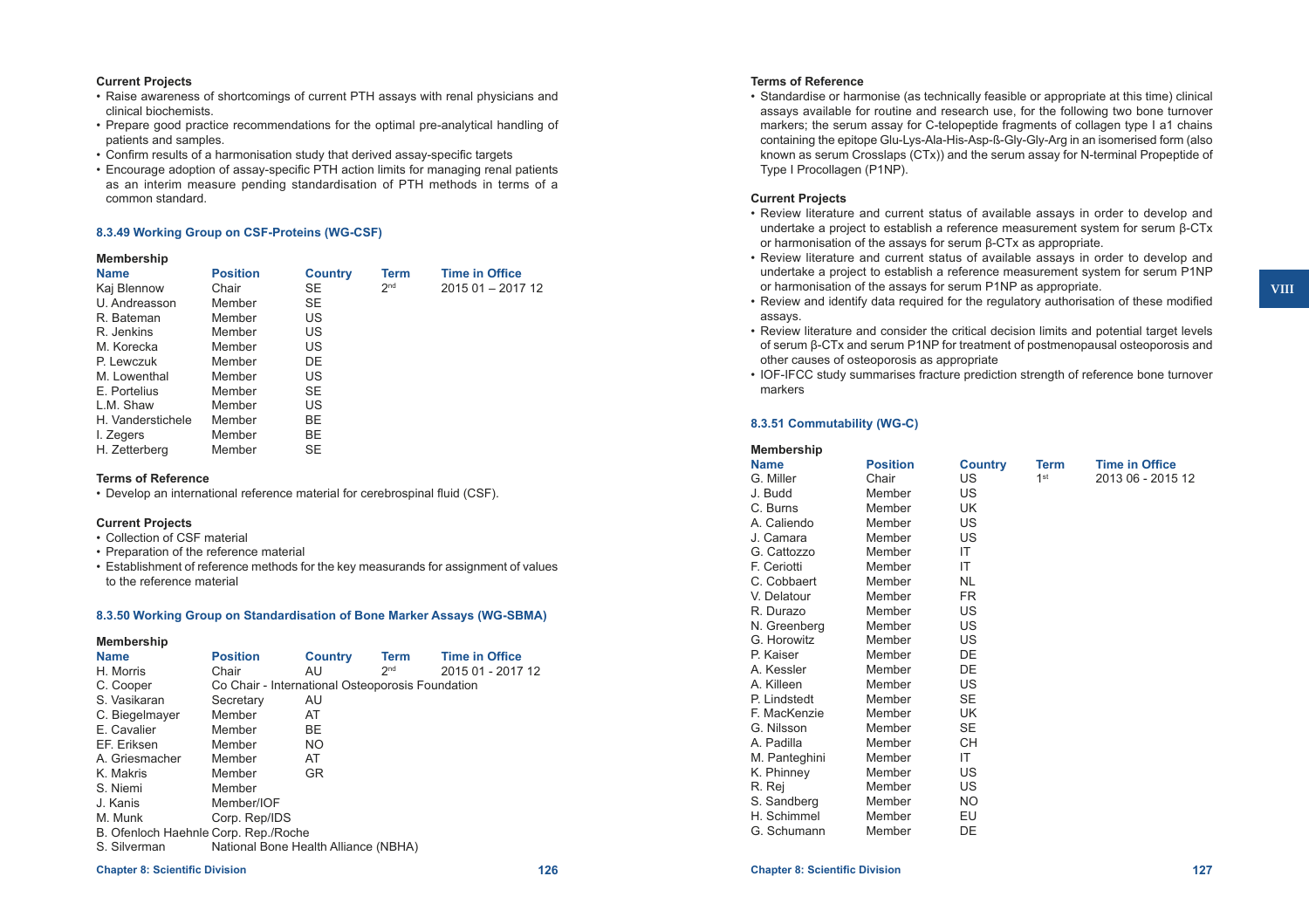### **Current Projects**

- • Raise awareness of shortcomings of current PTH assays with renal physicians and clinical biochemists.
- • Prepare good practice recommendations for the optimal pre-analytical handling of patients and samples.
- • Confirm results of a harmonisation study that derived assay-specific targets
- • Encourage adoption of assay-specific PTH action limits for managing renal patients as an interim measure pending standardisation of PTH methods in terms of a common standard.

#### **8.3.49 Working Group on CSF-Proteins (WG-CSF)**

#### **Membership**

| <b>Name</b>       | <b>Position</b> | <b>Country</b> | Term            | <b>Time in Office</b> |
|-------------------|-----------------|----------------|-----------------|-----------------------|
| Kaj Blennow       | Chair           | SE             | 2 <sub>nd</sub> | 2015 01 - 2017 12     |
| U. Andreasson     | Member          | <b>SE</b>      |                 |                       |
| R. Bateman        | Member          | US             |                 |                       |
| R. Jenkins        | Member          | US             |                 |                       |
| M. Korecka        | Member          | US             |                 |                       |
| P. Lewczuk        | Member          | DE             |                 |                       |
| M. Lowenthal      | Member          | US             |                 |                       |
| E. Portelius      | Member          | SE             |                 |                       |
| L.M. Shaw         | Member          | US             |                 |                       |
| H. Vanderstichele | Member          | BE             |                 |                       |
| I. Zegers         | Member          | BE             |                 |                       |
| H. Zetterberg     | Member          | <b>SE</b>      |                 |                       |

### **Terms of Reference**

• Develop an international reference material for cerebrospinal fluid (CSF).

#### **Current Projects**

- • Collection of CSF material
- • Preparation of the reference material
- • Establishment of reference methods for the key measurands for assignment of values to the reference material

#### **8.3.50 Working Group on Standardisation of Bone Marker Assays (WG-SBMA)**

#### **Membership**

| <b>Name</b>                          | <b>Position</b>                                  | <b>Country</b> | <b>Term</b>     | <b>Time in Office</b> |
|--------------------------------------|--------------------------------------------------|----------------|-----------------|-----------------------|
| H. Morris                            | Chair                                            | AU.            | 2 <sub>nd</sub> | 2015 01 - 2017 12     |
| C. Cooper                            | Co Chair - International Osteoporosis Foundation |                |                 |                       |
| S. Vasikaran                         | Secretary                                        | AU             |                 |                       |
| C. Biegelmayer                       | Member                                           | AT             |                 |                       |
| E. Cavalier                          | Member                                           | <b>BE</b>      |                 |                       |
| EF. Eriksen                          | Member                                           | NO.            |                 |                       |
| A. Griesmacher                       | Member                                           | AT             |                 |                       |
| K. Makris                            | Member                                           | GR.            |                 |                       |
| S. Niemi                             | Member                                           |                |                 |                       |
| J. Kanis                             | Member/IOF                                       |                |                 |                       |
| M. Munk                              | Corp. Rep/IDS                                    |                |                 |                       |
| B. Ofenloch Haehnle Corp. Rep./Roche |                                                  |                |                 |                       |
| S. Silverman                         | National Bone Health Alliance (NBHA)             |                |                 |                       |

#### **Chapter 8: Scientific Division 126 Chapter 8: Scientific Division 127**

# **Terms of Reference**

• Standardise or harmonise (as technically feasible or appropriate at this time) clinical assays available for routine and research use, for the following two bone turnover markers; the serum assay for C-telopeptide fragments of collagen type I a1 chains containing the epitope Glu-Lys-Ala-His-Asp-ß-Gly-Gly-Arg in an isomerised form (also known as serum Crosslaps (CTx)) and the serum assay for N-terminal Propeptide of Type I Procollagen (P1NP).

### **Current Projects**

- • Review literature and current status of available assays in order to develop and undertake a project to establish a reference measurement system for serum β-CTx or harmonisation of the assays for serum β-CTx as appropriate.
- • Review literature and current status of available assays in order to develop and undertake a project to establish a reference measurement system for serum P1NP or harmonisation of the assays for serum P1NP as appropriate.
- Review and identify data required for the requiatory authorisation of these modified assays.
- Review literature and consider the critical decision limits and potential target levels of serum β-CTx and serum P1NP for treatment of postmenopausal osteoporosis and other causes of osteoporosis as appropriate
- • IOF-IFCC study summarises fracture prediction strength of reference bone turnover markers

### **8.3.51 Commutability (WG-C)**

| Membership    |                 |                |                 |                       |
|---------------|-----------------|----------------|-----------------|-----------------------|
| <b>Name</b>   | <b>Position</b> | <b>Country</b> | <b>Term</b>     | <b>Time in Office</b> |
| G. Miller     | Chair           | US.            | 1 <sup>st</sup> | 2013 06 - 2015 12     |
| J. Budd       | Member          | US             |                 |                       |
| C. Burns      | Member          | UK             |                 |                       |
| A. Caliendo   | Member          | US             |                 |                       |
| J. Camara     | Member          | US             |                 |                       |
| G. Cattozzo   | Member          | IT             |                 |                       |
| F. Ceriotti   | Member          | IT             |                 |                       |
| C. Cobbaert   | Member          | <b>NL</b>      |                 |                       |
| V. Delatour   | Member          | FR.            |                 |                       |
| R. Durazo     | Member          | US             |                 |                       |
| N. Greenberg  | Member          | US             |                 |                       |
| G. Horowitz   | Member          | US.            |                 |                       |
| P. Kaiser     | Member          | DE             |                 |                       |
| A. Kessler    | Member          | DE             |                 |                       |
| A. Killeen    | Member          | US             |                 |                       |
| P. Lindstedt  | Member          | <b>SE</b>      |                 |                       |
| F. MacKenzie  | Member          | UK             |                 |                       |
| G. Nilsson    | Member          | <b>SE</b>      |                 |                       |
| A. Padilla    | Member          | CН             |                 |                       |
| M. Panteghini | Member          | IT             |                 |                       |
| K. Phinney    | Member          | US             |                 |                       |
| R. Rej        | Member          | US             |                 |                       |
| S. Sandberg   | Member          | <b>NO</b>      |                 |                       |
| H. Schimmel   | Member          | EU             |                 |                       |
| G. Schumann   | Member          | DE             |                 |                       |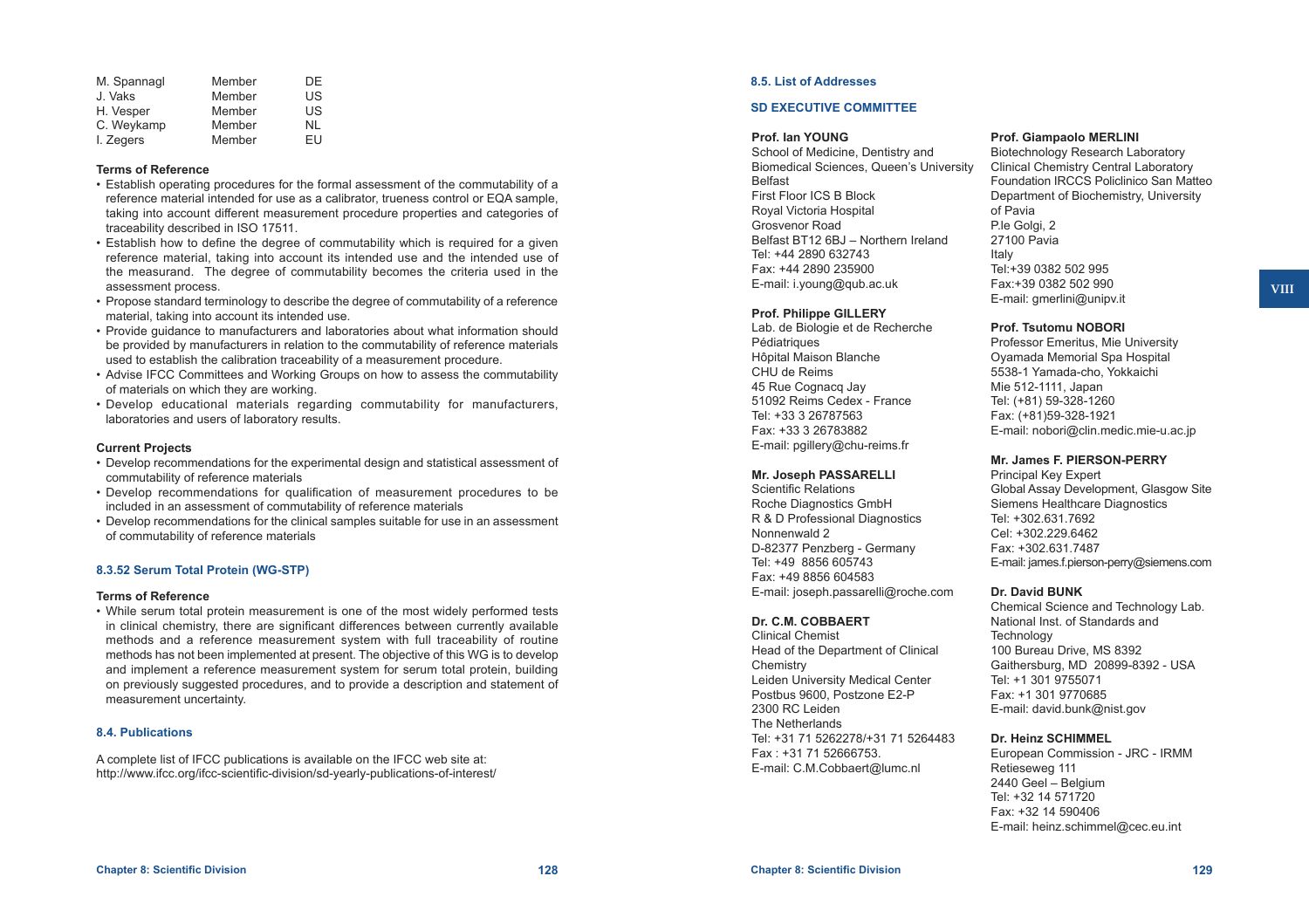| M. Spannagl | Member | DE |
|-------------|--------|----|
| J. Vaks     | Member | US |
| H. Vesper   | Member | US |
| C. Weykamp  | Member | NI |
| I. Zegers   | Member | FU |

#### **Terms of Reference**

- • Establish operating procedures for the formal assessment of the commutability of a reference material intended for use as a calibrator, trueness control or EQA sample, taking into account different measurement procedure properties and categories of traceability described in ISO 17511.
- Establish how to define the degree of commutability which is required for a given reference material, taking into account its intended use and the intended use of the measurand. The degree of commutability becomes the criteria used in the assessment process.
- • Propose standard terminology to describe the degree of commutability of a reference material, taking into account its intended use.
- • Provide guidance to manufacturers and laboratories about what information should be provided by manufacturers in relation to the commutability of reference materials used to establish the calibration traceability of a measurement procedure.
- • Advise IFCC Committees and Working Groups on how to assess the commutability of materials on which they are working.
- • Develop educational materials regarding commutability for manufacturers, laboratories and users of laboratory results.

#### **Current Projects**

- • Develop recommendations for the experimental design and statistical assessment of commutability of reference materials
- • Develop recommendations for qualification of measurement procedures to be included in an assessment of commutability of reference materials
- Develop recommendations for the clinical samples suitable for use in an assessment of commutability of reference materials

### **8.3.52 Serum Total Protein (WG-STP)**

#### **Terms of Reference**

• While serum total protein measurement is one of the most widely performed tests in clinical chemistry, there are significant differences between currently available methods and a reference measurement system with full traceability of routine methods has not been implemented at present. The objective of this WG is to develop and implement a reference measurement system for serum total protein, building on previously suggested procedures, and to provide a description and statement of measurement uncertainty.

#### **8.4. Publications**

A complete list of IFCC publications is available on the IFCC web site at: <http://www.ifcc.org/ifcc-scientific-division/sd-yearly-publications-of-interest/>

### **8.5. List of Addresses**

### **SD EXECUTIVE COMMITTEE**

### **Prof. Ian YOUNG**

School of Medicine, Dentistry and Biomedical Sciences, Queen's University Belfast First Floor ICS B Block Royal Victoria Hospital Grosvenor Road Belfast BT12 6BJ – Northern Ireland Tel: +44 2890 632743 Fax: +44 2890 235900 E-mail: [i.young@qub.ac.uk](mailto:i.young@qub.ac.uk)

### **Prof. Philippe GILLERY**

Lab. de Biologie et de Recherche Pédiatriques Hôpital Maison Blanche CHU de Reims 45 Rue Cognacq Jay 51092 Reims Cedex - France Tel: +33 3 26787563 Fax: +33 3 26783882 E-mail: [pgillery@chu-reims.fr](mailto:pgillery@chu-reims.fr)

#### **Mr. Joseph PASSARELLI**

Scientific Relations Roche Diagnostics GmbH R & D Professional Diagnostics Nonnenwald 2 D-82377 Penzberg - Germany Tel: +49 8856 605743 Fax: +49 8856 604583 E-mail: [joseph.passarelli@roche.com](mailto:joseph.passarelli@roche.com)

### **Dr. C.M. COBBAERT**

Clinical Chemist Head of the Department of Clinical **Chemistry** Leiden University Medical Center Postbus 9600, Postzone E2-P 2300 RC Leiden The Netherlands Tel: +31 71 5262278/+31 71 5264483 Fax : +31 71 52666753. E-mail: [C.M.Cobbaert@lumc.nl](mailto:C.M.Cobbaert@lumc.nl)

#### **Prof. Giampaolo MERLINI**

Biotechnology Research Laboratory Clinical Chemistry Central Laboratory Foundation IRCCS Policlinico San Matteo Department of Biochemistry, University of Pavia P.le Golgi, 2 27100 Pavia Italy Tel:+39 0382 502 995 Fax:+39 0382 502 990 E-mail: [gmerlini@unipv.it](mailto:gmerlini@unipv.it)

#### **Prof. Tsutomu NOBORI**

Professor Emeritus, Mie University Oyamada Memorial Spa Hospital 5538-1 Yamada-cho, Yokkaichi Mie 512-1111, Japan Tel: (+81) 59-328-1260 Fax: (+81)59-328-1921 E-mail: [nobori@clin.medic.mie-u.ac.jp](mailto:nobori@clin.medic.mie-u.ac.jp)

#### **Mr. James F. PIERSON-PERRY**

Principal Key Expert Global Assay Development, Glasgow Site Siemens Healthcare Diagnostics Tel: +302.631.7692 Cel: +302.229.6462 Fax: +302.631.7487 E-mail: [james.f.pierson-perry@siemens.com](mailto:james.f.pierson-perry@siemens.com)

### **Dr. David BUNK**

Chemical Science and Technology Lab. National Inst. of Standards and **Technology** 100 Bureau Drive, MS 8392 Gaithersburg, MD 20899-8392 - USA Tel: +1 301 9755071 Fax: +1 301 9770685 E-mail: [david.bunk@nist.gov](mailto:david.bunk@nist.gov)

### **Dr. Heinz SCHIMMEL**

European Commission - JRC - IRMM Retieseweg 111 2440 Geel – Belgium Tel: +32 14 571720 Fax: +32 14 590406 E-mail: [heinz.schimmel@cec.eu.int](mailto:heinz.schimmel@cec.eu.int)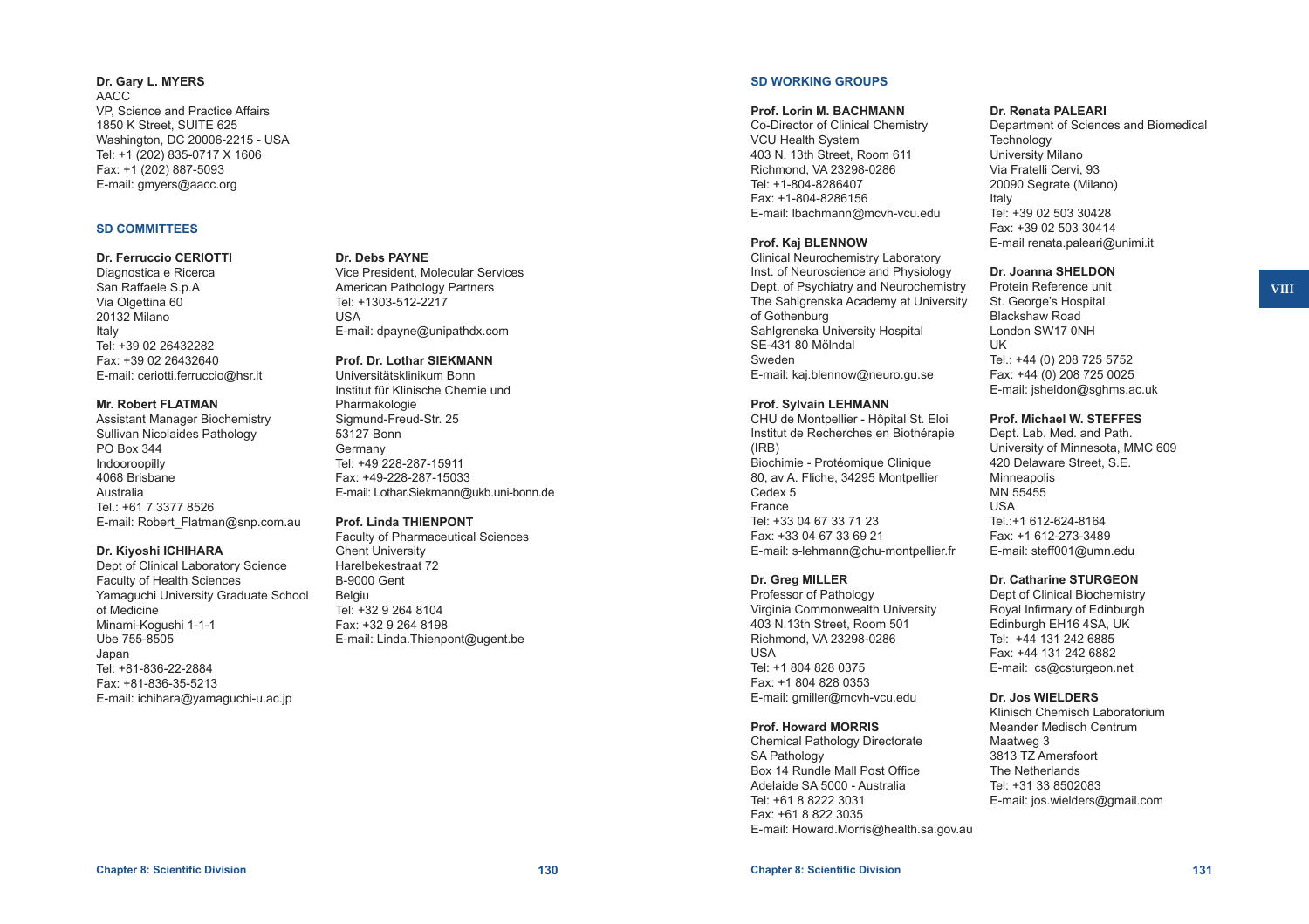### **Dr. Gary L. MYERS** AACC VP, Science and Practice Affairs 1850 K Street, SUITE 625 Washington, DC 20006-2215 - USA Tel: +1 (202) 835-0717 X 1606 Fax: +1 (202) 887-5093 E-mail: [gmyers@aacc.org](mailto:gmyers@aacc.org)

#### **SD COMMITTEES**

### **Dr. Ferruccio CERIOTTI**

Diagnostica e Ricerca San Raffaele S.p.A Via Olgettina 60 20132 Milano Italy Tel: +39 02 26432282 Fax: +39 02 26432640 E-mail: [ceriotti.ferruccio@hsr.it](mailto:ceriotti.ferruccio@hsr.it)

### **Mr. Robert FLATMAN**

Assistant Manager Biochemistry Sullivan Nicolaides Pathology PO Box 344 Indooroopilly 4068 Brisbane Australia Tel.: +61 7 3377 8526 E-mail: [Robert\\_Flatman@snp.com.au](mailto:Robert_Flatman@snp.com.au)

### **Dr. Kiyoshi ICHIHARA**

Dept of Clinical Laboratory Science Faculty of Health Sciences Yamaguchi University Graduate School of Medicine Minami-Kogushi 1-1-1 Ube 755-8505 Japan Tel: +81-836-22-2884 Fax: +81-836-35-5213 E-mail: [ichihara@yamaguchi-u.ac.jp](mailto:ichihara@yamaguchi-u.ac.jp)

### **Dr. Debs PAYNE**

Vice President, Molecular Services American Pathology Partners Tel: +1303-512-2217 USA E-mail: [dpayne@unipathdx.com](mailto:dpayne@unipathdx.com)

#### **Prof. Dr. Lothar SIEKMANN** Universitätsklinikum Bonn

Institut für Klinische Chemie und Pharmakologie Sigmund-Freud-Str. 25 53127 Bonn **Germany** Tel: +49 228-287-15911 Fax: +49-228-287-15033 E-mail: [Lothar.Siekmann@ukb.uni-bonn.de](mailto:Lothar.Siekmann@ukb.uni-bonn.de)

#### **Prof. Linda THIENPONT**

Faculty of Pharmaceutical Sciences Ghent University Harelbekestraat 72 B-9000 Gent Belgiu Tel: +32 9 264 8104 Fax: +32 9 264 8198 E-mail: [Linda.Thienpont@ugent.be](mailto:Linda.Thienpont@ugent.be)

# **SD WORKING GROUPS**

# **Prof. Lorin M. BACHMANN**

Co-Director of Clinical Chemistry VCU Health System 403 N. 13th Street, Room 611 Richmond, VA 23298-0286 Tel: +1-804-8286407 Fax: +1-804-8286156 E-mail: [lbachmann@mcvh-vcu.edu](mailto:lbachmann@mcvh-vcu.edu)

### **Prof. Kaj BLENNOW**

Clinical Neurochemistry Laboratory Inst. of Neuroscience and Physiology Dept. of Psychiatry and Neurochemistry The Sahlgrenska Academy at University of Gothenburg Sahlgrenska University Hospital SE-431 80 Mölndal Sweden E-mail: [kaj.blennow@neuro.gu.se](mailto:kaj.blennow@neuro.gu.se)

### **Prof. Sylvain LEHMANN**

CHU de Montpellier - Hôpital St. Eloi Institut de Recherches en Biothérapie (IRB) Biochimie - Protéomique Clinique 80, av A. Fliche, 34295 Montpellier Cedex 5 France Tel: +33 04 67 33 71 23 Fax: +33 04 67 33 69 21 E-mail: [s-lehmann@chu-montpellier.fr](mailto:s-lehmann@chu-montpellier.fr)

### **Dr. Greg MILLER**

Professor of Pathology Virginia Commonwealth University 403 N.13th Street, Room 501 Richmond, VA 23298-0286 USA Tel: +1 804 828 0375 Fax: +1 804 828 0353 E-mail: [gmiller@mcvh-vcu.edu](mailto:gmiller@mcvh-vcu.edu)

### **Prof. Howard MORRIS**

Chemical Pathology Directorate SA Pathology Box 14 Rundle Mall Post Office Adelaide SA 5000 - Australia Tel: +61 8 8222 3031 Fax: +61 8 822 3035 E-mail: [Howard.Morris@health.sa.gov.au](mailto:Howard.Morris@health.sa.gov.au)

### **Dr. Renata PALEARI**

Department of Sciences and Biomedical **Technology** University Milano Via Fratelli Cervi, 93 20090 Segrate (Milano) Italy Tel: +39 02 503 30428 Fax: +39 02 503 30414 E-mail [renata.paleari@unimi.it](mailto:renata.paleari@unimi.it)

### **Dr. Joanna SHELDON**

Protein Reference unit St. George's Hospital Blackshaw Road London SW17 0NH UK Tel.: +44 (0) 208 725 5752 Fax: +44 (0) 208 725 0025 E-mail: [jsheldon@sghms.ac.uk](mailto:jsheldon@sghms.ac.uk)

#### **Prof. Michael W. STEFFES**

Dept. Lab. Med. and Path. University of Minnesota, MMC 609 420 Delaware Street, S.E. Minneapolis MN 55455 USA Tel.:+1 612-624-8164 Fax: +1 612-273-3489 E-mail: [steff001@umn.edu](mailto:steff001@umn.edu)

### **Dr. Catharine STURGEON**

Dept of Clinical Biochemistry Royal Infirmary of Edinburgh Edinburgh EH16 4SA, UK Tel: +44 131 242 6885 Fax: +44 131 242 6882 E-mail: [cs@csturgeon.net](mailto:cs@csturgeon.net)

#### **Dr. Jos WIELDERS**

Klinisch Chemisch Laboratorium Meander Medisch Centrum Maatweg 3 3813 TZ Amersfoort The Netherlands Tel: +31 33 8502083 E-mail: [jos.wielders@gmail.com](mailto:jos.wielders@gmail.com)